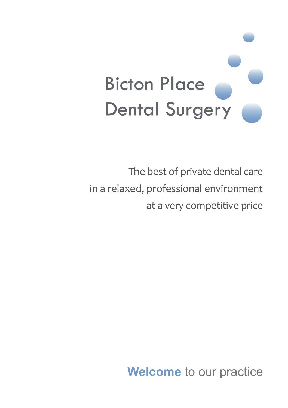

The best of private dental care in a relaxed, professional environment at a very competitive price

**Welcome** to our practice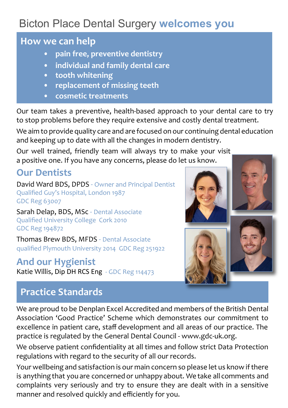# Bicton Place Dental Surgery **welcomes you**

#### **How we can help**

- **pain free, preventive dentistry**
- **individual and family dental care**
- **tooth whitening**
- **replacement of missing teeth**
- **cosmetic treatments**

Our team takes a preventive, health-based approach to your dental care to try to stop problems before they require extensive and costly dental treatment.

We aim to provide quality care and are focused on our continuing dental education and keeping up to date with all the changes in modern dentistry.

Our well trained, friendly team will always try to make your visit a positive one. If you have any concerns, please do let us know.

### **Our Dentists**

David Ward BDS, DPDS - Owner and Principal Dentist Qualified Guy's Hospital, London 1987 GDC Reg 63007

Sarah Delap, BDS, MSc - Dental Associate Qualified University College Cork 2010 GDC Reg 194872

Thomas Brew BDS, MFDS - Dental Associate qualified Plymouth University 2014 GDC Reg 251922

#### **And our Hygienist**

Katie Willis, Dip DH RCS Eng - GDC Reg 114473



## **Practice Standards**

We are proud to be Denplan Excel Accredited and members of the British Dental Association 'Good Practice' Scheme which demonstrates our commitment to excellence in patient care, staff development and all areas of our practice. The practice is regulated by the General Dental Council - www.gdc-uk.org.

We observe patient confidentiality at all times and follow strict Data Protection regulations with regard to the security of all our records.

Your wellbeing and satisfaction is our main concern so please let us know if there is anything that you are concerned or unhappy about. We take all comments and complaints very seriously and try to ensure they are dealt with in a sensitive manner and resolved quickly and efficiently for you.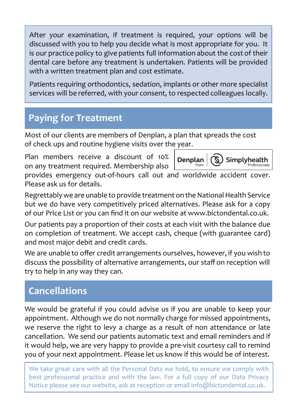After your examination, if treatment is required, your options will be discussed with you to help you decide what is most appropriate for you. It is our practice policy to give patients full information about the cost of their dental care before any treatment is undertaken. Patients will be provided with a written treatment plan and cost estimate.

Patients requiring orthodontics, sedation, implants or other more specialist services will be referred, with your consent, to respected colleagues locally.

## **Paying for Treatment**

Most of our clients are members of Denplan, a plan that spreads the cost of check ups and routine hygiene visits over the year.

Plan members receive a discount of 10% on any treatment required. Membership also



provides emergency out-of-hours call out and worldwide accident cover. Please ask us for details.

Regrettably we are unable to provide treatment on the National Health Service but we do have very competitively priced alternatives. Please ask for a copy of our Price List or you can find it on our website at www.bictondental.co.uk.

Our patients pay a proportion of their costs at each visit with the balance due on completion of treatment. We accept cash, cheque (with guarantee card) and most major debit and credit cards.

We are unable to offer credit arrangements ourselves, however, if you wish to discuss the possibility of alternative arrangements, our staff on reception will try to help in any way they can.

## **Cancellations**

We would be grateful if you could advise us if you are unable to keep your appointment. Although we do not normally charge for missed appointments, we reserve the right to levy a charge as a result of non attendance or late cancellation. We send our patients automatic text and email reminders and if it would help, we are very happy to provide a pre-visit courtesy call to remind you of your next appointment. Please let us know if this would be of interest.

We take great care with all the Personal Data we hold, to ensure we comply with best professional practice and with the law. For a full copy of our Data Privacy Notice please see our website, ask at reception or email info@bictondental.co.uk.